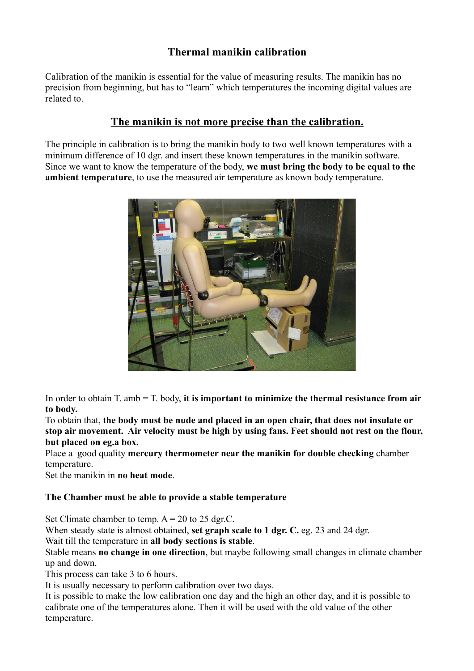## **Thermal manikin calibration**

Calibration of the manikin is essential for the value of measuring results. The manikin has no precision from beginning, but has to "learn" which temperatures the incoming digital values are related to.

## **The manikin is not more precise than the calibration.**

The principle in calibration is to bring the manikin body to two well known temperatures with a minimum difference of 10 dgr. and insert these known temperatures in the manikin software. Since we want to know the temperature of the body, **we must bring the body to be equal to the ambient temperature**, to use the measured air temperature as known body temperature.



In order to obtain T. amb = T. body, **it is important to minimize the thermal resistance from air to body.** 

To obtain that, **the body must be nude and placed in an open chair, that does not insulate or stop air movement. Air velocity must be high by using fans. Feet should not rest on the flour, but placed on eg.a box.** 

Place a good quality **mercury thermometer near the manikin for double checking** chamber temperature.

Set the manikin in **no heat mode**.

## **The Chamber must be able to provide a stable temperature**

Set Climate chamber to temp.  $A = 20$  to 25 dgr.C.

When steady state is almost obtained, **set graph scale to 1 dgr. C.** eg. 23 and 24 dgr.

Wait till the temperature in **all body sections is stable**.

Stable means **no change in one direction**, but maybe following small changes in climate chamber up and down.

This process can take 3 to 6 hours.

It is usually necessary to perform calibration over two days.

It is possible to make the low calibration one day and the high an other day, and it is possible to calibrate one of the temperatures alone. Then it will be used with the old value of the other temperature.